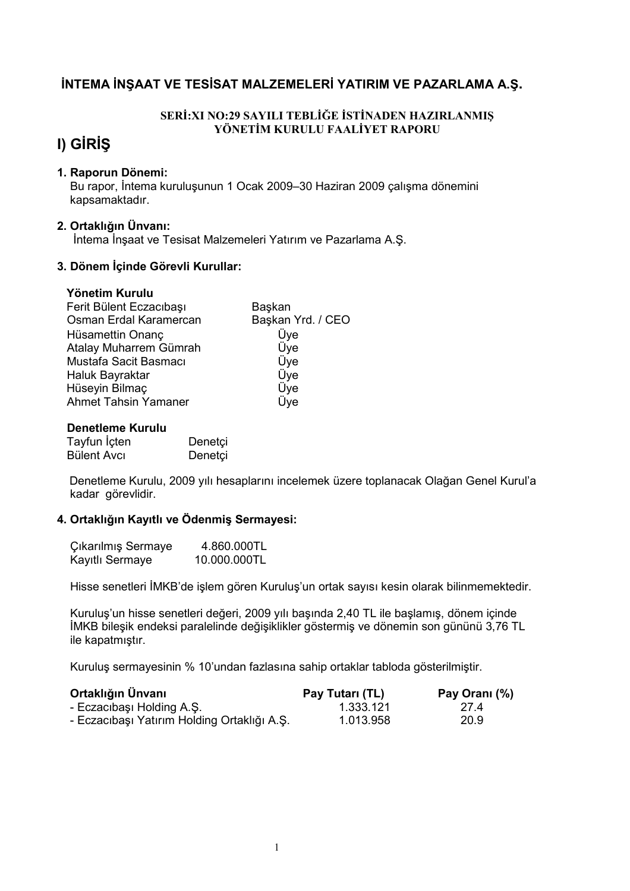## INTEMA INSAAT VE TESISAT MALZEMELERI YATIRIM VE PAZARLAMA A.Ş.

#### SERİ:XI NO:29 SAYILI TEBLİĞE İSTİNADEN HAZIRLANMIS YÖNETİM KURULU FAALİYET RAPORU

# I) GIRIS

#### 1. Raporun Dönemi:

Bu rapor, İntema kuruluşunun 1 Ocak 2009-30 Haziran 2009 çalışma dönemini kapsamaktadır.

#### 2. Ortaklığın Ünvanı:

Intema Inșaat ve Tesisat Malzemeleri Yatırım ve Pazarlama A.Ş.

#### 3. Dönem İçinde Görevli Kurullar:

#### Yönetim Kurulu

| Başkan            |
|-------------------|
| Başkan Yrd. / CEO |
| Üye               |
| Üye               |
| Üye               |
| Üye               |
| Üye               |
| Üye               |
|                   |

#### Denetleme Kurulu

| Tayfun İçten | Denetçi |
|--------------|---------|
| Bülent Avcı  | Denetçi |

Denetleme Kurulu, 2009 yılı hesaplarını incelemek üzere toplanacak Olağan Genel Kurul'a kadar görevlidir.

#### 4. Ortaklığın Kayıtlı ve Ödenmiş Sermayesi:

| Çıkarılmış Sermaye | 4.860.000TL  |
|--------------------|--------------|
| Kayıtlı Sermaye    | 10.000.000TL |

Hisse senetleri İMKB'de islem gören Kurulus'un ortak savısı kesin olarak bilinmemektedir.

Kuruluş'un hisse senetleri değeri, 2009 yılı başında 2,40 TL ile başlamış, dönem içinde İMKB bileşik endeksi paralelinde değişiklikler göstermiş ve dönemin son gününü 3,76 TL ile kapatmıştır.

Kuruluş sermayesinin % 10'undan fazlasına sahip ortaklar tabloda gösterilmiştir.

| Ortaklığın Ünvanı                           | Pay Tutari (TL) | Pay Orani (%) |
|---------------------------------------------|-----------------|---------------|
| - Eczacıbaşı Holding A.Ş.                   | 1.333.121       | 27.4          |
| - Eczacıbaşı Yatırım Holding Ortaklığı A.Ş. | 1.013.958       | 20.9          |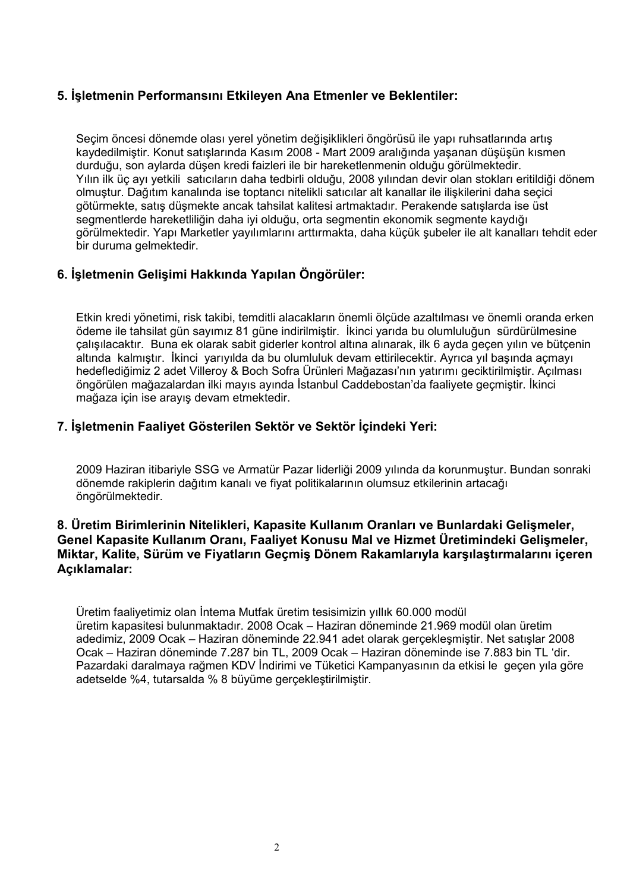### 5. İşletmenin Performansını Etkileyen Ana Etmenler ve Beklentiler:

Secim öncesi dönemde olası yerel yönetim değisiklikleri öngörüsü ile yapı ruhsatlarında artıs kaydedilmiştir. Konut satışlarında Kasım 2008 - Mart 2009 aralığında yaşanan düşüşün kısmen durduğu, son aylarda düşen kredi faizleri ile bir hareketlenmenin olduğu görülmektedir. Yılın ilk üç ayı yetkili satıcıların daha tedbirli olduğu, 2008 yılından devir olan stokları eritildiği dönem olmustur. Dağıtım kanalında ise toptancı nitelikli satıcılar alt kanallar ile iliskilerini daha secici götürmekte, satıs düşmekte ancak tahsilat kalitesi artmaktadır. Perakende satışlarda ise üst segmentlerde hareketliliğin daha iyi olduğu, orta segmentin ekonomik segmente kaydığı görülmektedir. Yapı Marketler yayılımlarını arttırmakta, daha küçük şubeler ile alt kanalları tehdit eder bir duruma gelmektedir.

## 6. İşletmenin Gelişimi Hakkında Yapılan Öngörüler:

Etkin kredi yönetimi, risk takibi, temditli alacakların önemli ölçüde azaltılması ve önemli oranda erken ödeme ile tahsilat gün sayımız 81 güne indirilmiştir. İkinci yarıda bu olumluluğun sürdürülmesine calisilacaktır. Buna ek olarak sabit giderler kontrol altına alınarak, ilk 6 ayda gecen yılın ve bütcenin altında kalmıştır. İkinci varıyılda da bu olumluluk devam ettirilecektir. Ayrıca vıl basında açmayı hedeflediğimiz 2 adet Villeroy & Boch Sofra Ürünleri Mağazası'nın yatırımı geciktirilmiştir. Acılması öngörülen mağazalardan ilki mayıs ayında İstanbul Caddebostan'da faaliyete gecmistir. İkinci mağaza için ise arayış devam etmektedir.

### 7. İsletmenin Faaliyet Gösterilen Sektör ve Sektör İcindeki Yeri:

2009 Haziran itibarivle SSG ve Armatür Pazar liderliği 2009 yılında da korunmustur. Bundan sonraki dönemde rakiplerin dağıtım kanalı ve fiyat politikalarının olumsuz etkilerinin artacağı öngörülmektedir.

#### 8. Üretim Birimlerinin Nitelikleri, Kapasite Kullanım Oranları ve Bunlardaki Gelişmeler, Genel Kapasite Kullanım Oranı, Faaliyet Konusu Mal ve Hizmet Üretimindeki Gelismeler. Miktar, Kalite, Sürüm ve Fiyatların Geçmiş Dönem Rakamlarıyla karşılaştırmalarını içeren Açıklamalar:

Üretim faaliyetimiz olan İntema Mutfak üretim tesisimizin yıllık 60.000 modül üretim kapasitesi bulunmaktadır. 2008 Ocak - Haziran döneminde 21.969 modül olan üretim adedimiz, 2009 Ocak – Haziran döneminde 22.941 adet olarak gerçekleşmiştir. Net satışlar 2008 Ocak - Haziran döneminde 7.287 bin TL, 2009 Ocak - Haziran döneminde ise 7.883 bin TL 'dir. Pazardaki daralmaya rağmen KDV İndirimi ve Tüketici Kampanyasının da etkisi le gecen yıla göre adetselde %4, tutarsalda % 8 büyüme gerçekleştirilmiştir.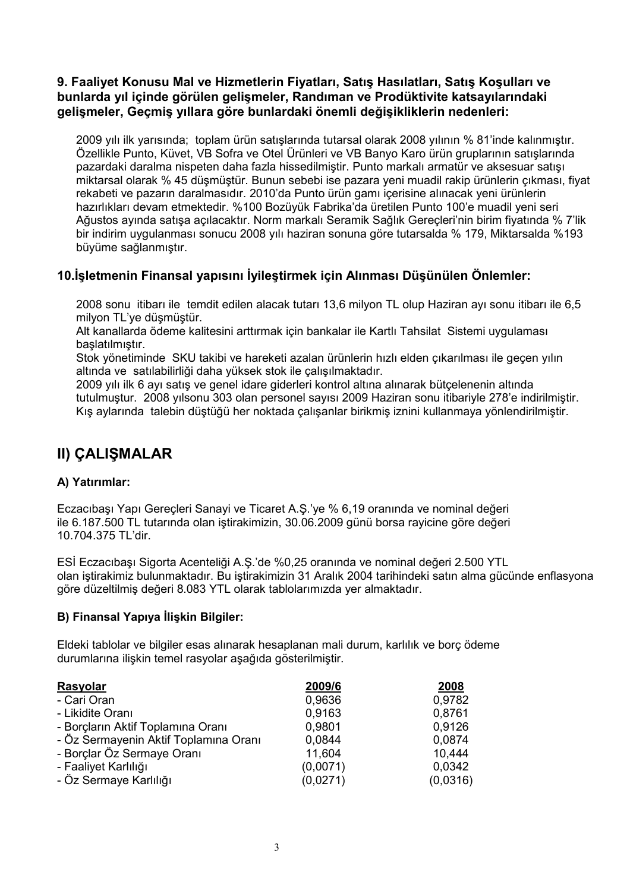### 9. Faaliyet Konusu Mal ve Hizmetlerin Fiyatları, Satış Hasılatları, Satış Koşulları ve bunlarda yıl içinde görülen gelişmeler, Randıman ve Prodüktivite katsayılarındaki gelişmeler, Geçmiş yıllara göre bunlardaki önemli değişikliklerin nedenleri:

2009 yılı ilk yarısında; toplam ürün satıslarında tutarsal olarak 2008 yılının % 81'inde kalınmıştır. Özellikle Punto, Küvet, VB Sofra ve Otel Ürünleri ve VB Banyo Karo ürün gruplarının satışlarında pazardaki daralma nispeten daha fazla hissedilmiştir. Punto markalı armatür ve aksesuar satışı miktarsal olarak % 45 düsmüstür. Bunun sebebi ise pazara veni muadil rakip ürünlerin cıkması, fivat rekabeti ve pazarın daralmasıdır. 2010'da Punto ürün gamı icerisine alınacak yeni ürünlerin hazırlıkları devam etmektedir. %100 Bozüyük Fabrika'da üretilen Punto 100'e muadil yeni seri Ağustos ayında satışa açılacaktır. Norm markalı Seramik Sağlık Gereçleri'nin birim fiyatında % 7'lik bir indirim uygulanması sonucu 2008 yılı haziran sonuna göre tutarsalda % 179, Miktarsalda %193 büyüme sağlanmıştır.

## 10. İsletmenin Finansal yapısını İyileştirmek için Alınması Düşünülen Önlemler:

2008 sonu itibarı ile temdit edilen alacak tutarı 13,6 milyon TL olup Haziran ayı sonu itibarı ile 6,5 milyon TL'ye düşmüştür.

Alt kanallarda ödeme kalitesini arttırmak için bankalar ile Kartlı Tahsilat Sistemi uygulaması baslatılmıştır.

Stok vönetiminde SKU takibi ve hareketi azalan ürünlerin hızlı elden cıkarılması ile gecen yılın altında ve satılabilirliği daha yüksek stok ile calışılmaktadır.

2009 yılı ilk 6 ayı satış ve genel idare giderleri kontrol altına alınarak bütçelenenin altında tutulmustur. 2008 yılsonu 303 olan personel sayısı 2009 Haziran sonu itibariyle 278'e indirilmistir. Kış aylarında talebin düştüğü her noktada calışanlar birikmiş iznini kullanmaya yönlendirilmiştir.

## **II) CALISMALAR**

#### A) Yatırımlar:

Eczacıbaşı Yapı Gereçleri Sanayi ve Ticaret A.Ş.'ye % 6,19 oranında ve nominal değeri ile 6.187.500 TL tutarında olan istirakimizin. 30.06.2009 günü borsa ravicine göre değeri 10.704.375 TL'dir.

ESİ Eczacıbası Sigorta Acenteliği A.S.'de %0,25 oranında ve nominal değeri 2.500 YTL olan iştirakimiz bulunmaktadır. Bu iştirakimizin 31 Aralık 2004 tarihindeki satın alma gücünde enflasyona göre düzeltilmiş değeri 8.083 YTL olarak tablolarımızda yer almaktadır.

#### B) Finansal Yapıya İlişkin Bilgiler:

Eldeki tablolar ve bilgiler esas alınarak hesaplanan mali durum, karlılık ve borc ödeme durumlarına ilişkin temel rasyolar aşağıda gösterilmiştir.

| Rasyolar                              | 2009/6   | 2008     |
|---------------------------------------|----------|----------|
| - Cari Oran                           | 0,9636   | 0,9782   |
| - Likidite Oranı                      | 0,9163   | 0,8761   |
| - Borçların Aktif Toplamına Oranı     | 0,9801   | 0.9126   |
| - Öz Sermayenin Aktif Toplamına Oranı | 0,0844   | 0,0874   |
| - Borçlar Öz Sermaye Oranı            | 11,604   | 10,444   |
| - Faaliyet Karlılığı                  | (0,0071) | 0,0342   |
| - Öz Sermaye Karlılığı                | (0,0271) | (0,0316) |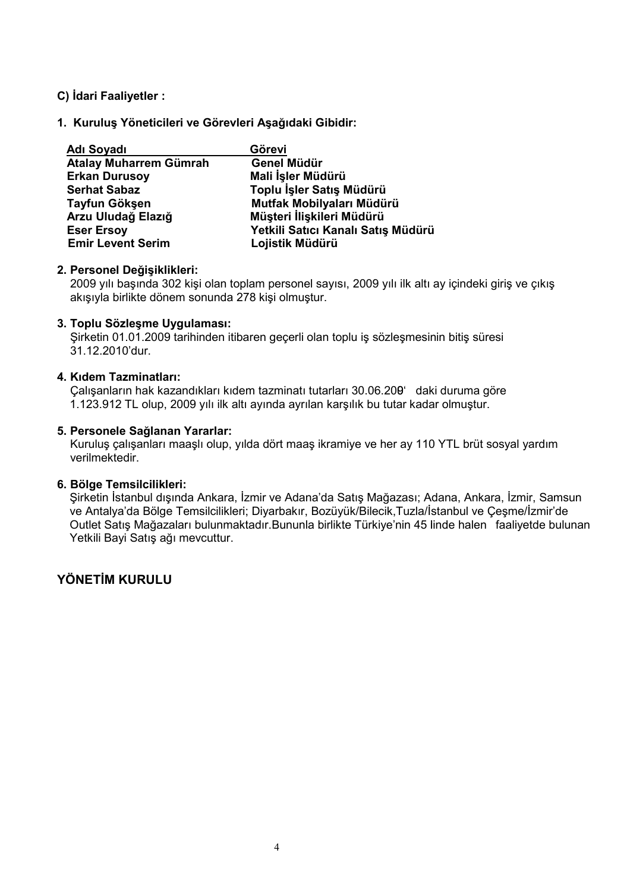#### C) İdari Faaliyetler:

#### 1. Kurulus Yöneticileri ve Görevleri Asağıdaki Gibidir:

| <b>Adı Soyadı</b>             | Görevi                             |
|-------------------------------|------------------------------------|
| <b>Atalay Muharrem Gümrah</b> | Genel Müdür                        |
| <b>Erkan Durusoy</b>          | Mali İşler Müdürü                  |
| <b>Serhat Sabaz</b>           | Toplu İşler Satış Müdürü           |
| Tayfun Gökşen                 | Mutfak Mobilyaları Müdürü          |
| Arzu Uludağ Elazığ            | Müşteri İlişkileri Müdürü          |
| <b>Eser Ersoy</b>             | Yetkili Satıcı Kanalı Satış Müdürü |
| <b>Emir Levent Serim</b>      | Lojistik Müdürü                    |

#### 2. Personel Değişiklikleri:

2009 yılı başında 302 kişi olan toplam personel sayısı, 2009 yılı ilk altı ay içindeki giriş ve çıkış akışıyla birlikte dönem sonunda 278 kişi olmuştur.

#### 3. Toplu Sözlesme Uygulaması:

Sirketin 01.01.2009 tarihinden itibaren gecerli olan toplu is sözlesmesinin bitis süresi 31.12.2010'dur.

#### 4. Kidem Tazminatları:

Calışanların hak kazandıkları kıdem tazminatı tutarları 30.06.200' daki duruma göre 1.123.912 TL olup, 2009 yılı ilk altı ayında ayrılan karşılık bu tutar kadar olmuştur.

#### 5. Personele Sağlanan Yararlar:

Kuruluş çalışanları maaşlı olup, yılda dört maaş ikramiye ve her ay 110 YTL brüt sosyal yardım verilmektedir.

#### 6. Bölge Temsilcilikleri:

Sirketin İstanbul dışında Ankara, İzmir ve Adana'da Satış Mağazası; Adana, Ankara, İzmir, Samsun ve Antalya'da Bölge Temsilcilikleri; Diyarbakır, Bozüyük/Bilecik, Tuzla/İstanbul ve Çeşme/İzmir'de Outlet Satış Mağazaları bulunmaktadır. Bununla birlikte Türkiye'nin 45 linde halen faaliyetde bulunan Yetkili Bayi Satış ağı mevcuttur.

## YÖNFTİM KURULU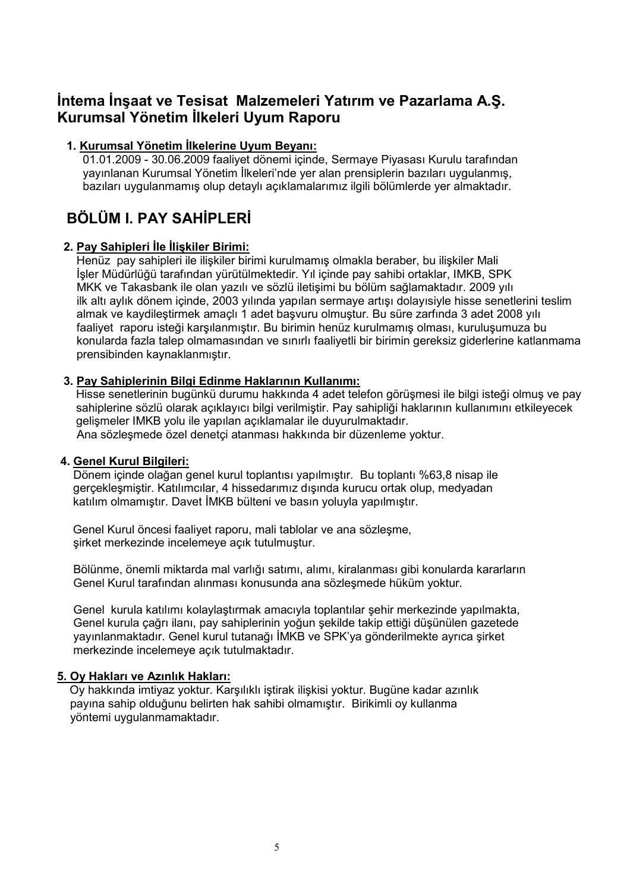## Intema Insaat ve Tesisat Malzemeleri Yatırım ve Pazarlama A.Ş. Kurumsal Yönetim İlkeleri Uyum Raporu

#### 1. Kurumsal Yönetim İlkelerine Uvum Bevanı:

01.01.2009 - 30.06.2009 faalivet dönemi icinde. Sermave Pivasası Kurulu tarafından vayınlanan Kurumsal Yönetim İlkeleri'nde yer alan prensiplerin bazıları uygulanmıs. bazıları uygulanmamış olup detaylı acıklamalarımız ilgili bölümlerde yer almaktadır.

# BÖLÜM I. PAY SAHİPLERİ

#### 2. Pay Sahipleri İle İlişkiler Birimi:

Henüz pay sahipleri ile ilişkiler birimi kurulmamış olmakla beraber, bu ilişkiler Mali İsler Müdürlüğü tarafından yürütülmektedir. Yıl içinde pay sahibi ortaklar. IMKB. SPK MKK ve Takasbank ile olan vazılı ve sözlü iletisimi bu bölüm sağlamaktadır. 2009 yılı ilk altı aylık dönem içinde, 2003 yılında yapılan sermaye artışı dolayısiyle hisse senetlerini teslim almak ve kaydilestirmek amaclı 1 adet basvuru olmuştur. Bu süre zarfında 3 adet 2008 yılı faaliyet raporu isteği karşılanmıştır. Bu birimin henüz kurulmamış olması, kuruluşumuza bu konularda fazla talep olmamasından ve sınırlı faaliyetli bir birimin gereksiz giderlerine katlanmama prensibinden kaynaklanmıştır.

#### 3. Pay Sahiplerinin Bilgi Edinme Haklarının Kullanımı:

Hisse senetlerinin bugünkü durumu hakkında 4 adet telefon görüşmesi ile bilgi isteği olmuş ve pav sahiplerine sözlü olarak açıklayıcı bilgi verilmiştir. Pay sahipliği haklarının kullanımını etkileyecek gelismeler IMKB yolu ile yapılan açıklamalar ile duyurulmaktadır. Ana sözlesmede özel denetci atanması hakkında bir düzenleme yoktur.

#### 4. Genel Kurul Bilgileri:

Dönem icinde olağan genel kurul toplantısı yapılmıştır. Bu toplantı %63.8 nisap ile gerçekleşmiştir. Katılımcılar, 4 hissedarımız dışında kurucu ortak olup, medyadan katılım olmamıştır. Davet İMKB bülteni ve basın yoluyla yapılmıştır.

Genel Kurul öncesi faalivet raporu, mali tablolar ve ana sözlesme. sirket merkezinde incelemeve acık tutulmustur.

Bölünme, önemli miktarda mal varlığı satımı, alımı, kiralanması gibi konularda kararların Genel Kurul tarafından alınması konusunda ana sözleşmede hüküm yoktur.

Genel kurula katılımı kolaylastırmak amacıyla toplantılar sehir merkezinde yapılmakta. Genel kurula cağrı ilanı, pay sahiplerinin yoğun sekilde takip ettiği düşünülen gazetede yayınlanmaktadır. Genel kurul tutanağı İMKB ve SPK'ya gönderilmekte ayrıca şirket merkezinde incelemeve acık tutulmaktadır.

#### 5. Oy Hakları ve Azınlık Hakları:

Oy hakkında imtiyaz yoktur. Karşılıklı iştirak ilişkisi yoktur. Bugüne kadar azınlık payına sahip olduğunu belirten hak sahibi olmamıştır. Birikimli oy kullanma vöntemi uvgulanmamaktadır.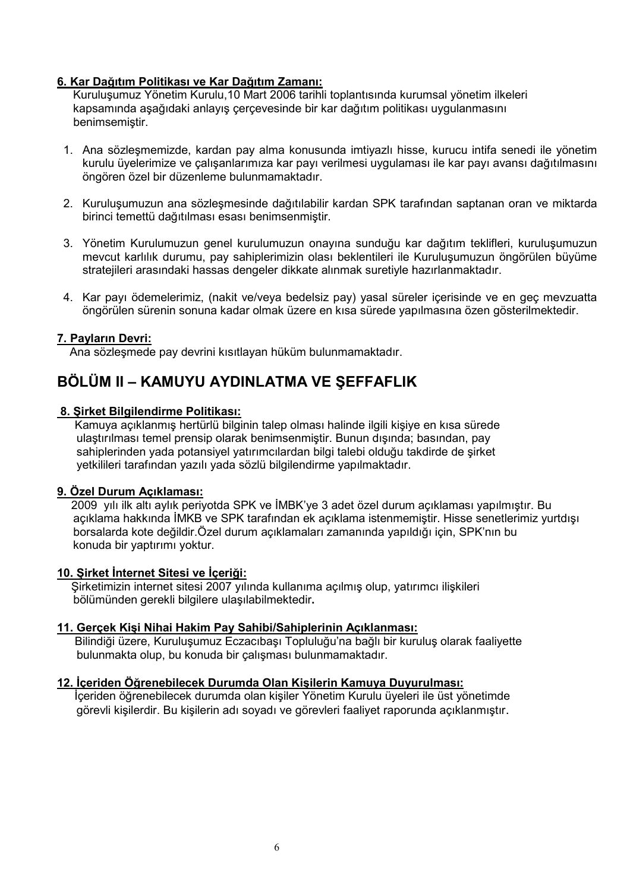#### 6. Kar Dağıtım Politikası ve Kar Dağıtım Zamanı:

Kurulusumuz Yönetim Kurulu, 10 Mart 2006 tarihli toplantısında kurumsal yönetim ilkeleri kapsamında aşağıdaki anlayış çerçevesinde bir kar dağıtım politikası uygulanmasını benimsemistir.

- 1. Ana sözleşmemizde, kardan pay alma konusunda imtiyazlı hisse, kurucu intifa senedi ile yönetim kurulu üyelerimize ve calısanlarımıza kar payı verilmesi uygulaması ile kar payı avansı dağıtılmasını öngören özel bir düzenleme bulunmamaktadır.
- 2. Kurulusumuzun ana sözlesmesinde dağıtılabilir kardan SPK tarafından saptanan oran ve miktarda birinci temettü dağıtılması esası benimsenmiştir.
- 3. Yönetim Kurulumuzun genel kurulumuzun onayına sunduğu kar dağıtım teklifleri, kuruluşumuzun mevcut karlılık durumu, pay sahiplerimizin olası beklentileri ile Kuruluşumuzun öngörülen büyüme stratejileri arasındaki hassas dengeler dikkate alınmak suretiyle hazırlanmaktadır.
- 4. Kar payı ödemelerimiz, (nakit ve/veya bedelsiz pay) yasal süreler içerisinde ve en geç mevzuatta öngörülen sürenin sonuna kadar olmak üzere en kısa sürede yapılmasına özen gösterilmektedir.

#### 7. Payların Devri:

Ana sözleşmede pay devrini kısıtlayan hüküm bulunmamaktadır.

## BÖLÜM II – KAMUYU AYDINLATMA VE ŞEFFAFLIK

#### 8. Şirket Bilgilendirme Politikası:

Kamuva açıklanmış hertürlü bilginin talep olması halinde ilgili kişiye en kısa sürede ulastirilmasi temel prensip olarak benimsenmistir. Bunun disinda: basından, pav sahiplerinden vada potansivel vatırımcılardan bilgi talebi olduğu takdirde de sirket vetkilileri tarafından yazılı yada sözlü bilgilendirme yapılmaktadır.

#### 9. Özel Durum Açıklaması:

2009 yılı ilk altı aylık periyotda SPK ve İMBK'ye 3 adet özel durum açıklaması yapılmıştır. Bu açıklama hakkında İMKB ve SPK tarafından ek açıklama istenmemiştir. Hisse senetlerimiz yurtdışı borsalarda kote değildir.Özel durum açıklamaları zamanında yapıldığı için, SPK'nın bu konuda bir yaptırımı yoktur.

#### 10. Şirket İnternet Sitesi ve İçeriği:

Sirketimizin internet sitesi 2007 yılında kullanıma açılmış olup, yatırımcı ilişkileri bölümünden gerekli bilgilere ulasılabilmektedir.

#### 11. Gerçek Kişi Nihai Hakim Pay Sahibi/Sahiplerinin Açıklanması:

Bilindiği üzere, Kuruluşumuz Eczacıbaşı Topluluğu'na bağlı bir kuruluş olarak faaliyette bulunmakta olup, bu konuda bir calisması bulunmamaktadır.

#### 12. İçeriden Öğrenebilecek Durumda Olan Kişilerin Kamuya Duyurulması:

İçeriden öğrenebilecek durumda olan kişiler Yönetim Kurulu üyeleri ile üst yönetimde görevli kişilerdir. Bu kişilerin adı soyadı ve görevleri faaliyet raporunda açıklanmıştır.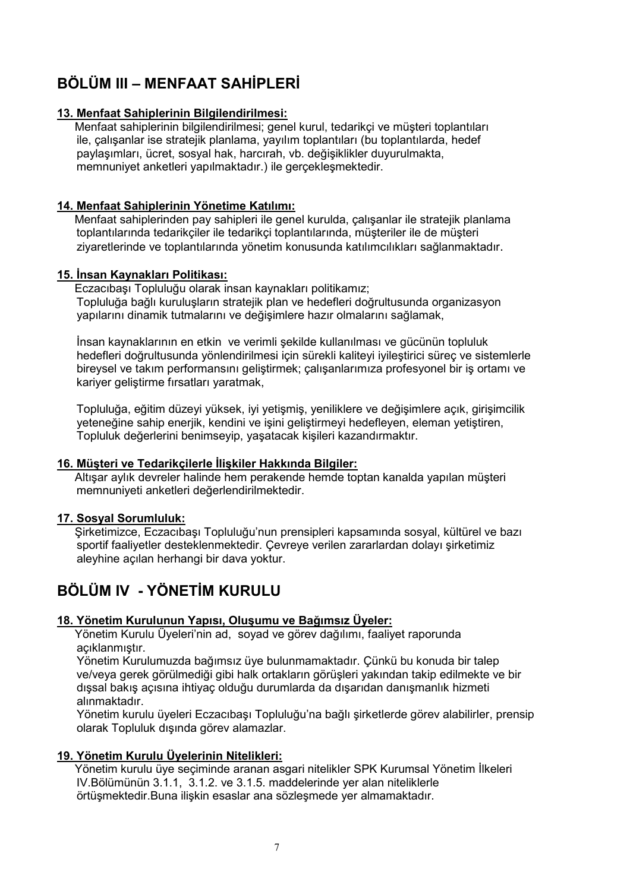# BÖLÜM III – MENFAAT SAHİPLERİ

#### 13. Menfaat Sahiplerinin Bilgilendirilmesi:

Menfaat sahiplerinin bilgilendirilmesi; genel kurul, tedarikci ve müsteri toplantıları ile, çalışanlar ise stratejik planlama, yayılım toplantıları (bu toplantılarda, hedef paylaşımları, ücret, sosyal hak, harcırah, vb. değişiklikler duyurulmakta, memnuniyet anketleri yapılmaktadır.) ile gerçekleşmektedir.

#### 14. Menfaat Sahiplerinin Yönetime Katılımı:

Menfaat sahiplerinden pay sahipleri ile genel kurulda, calısanlar ile stratejik planlama toplantılarında tedarikçiler ile tedarikçi toplantılarında, müşteriler ile de müşteri ziyaretlerinde ve toplantılarında yönetim konusunda katılımcılıkları sağlanmaktadır.

#### 15. İnsan Kaynakları Politikası:

Eczacıbası Topluluğu olarak insan kaynakları politikamız; Topluluğa bağlı kuruluşların stratejik plan ve hedefleri doğrultusunda organizasyon yapılarını dinamik tutmalarını ve değişimlere hazır olmalarını sağlamak,

İnsan kaynaklarının en etkin ve verimli sekilde kullanılması ve gücünün topluluk hedefleri doğrultusunda yönlendirilmesi için sürekli kaliteyi iyileştirici sürec ve sistemlerle bireysel ve takım performansını gelistirmek; calısanlarımıza profesyonel bir is ortamı ve kariyer geliştirme fırsatları yaratmak,

Topluluğa, eğitim düzeyi yüksek, iyi yetişmiş, yeniliklere ve değişimlere açık, girişimcilik yeteneğine sahip enerjik, kendini ve işini geliştirmeyi hedefleyen, eleman yetiştiren, Topluluk değerlerini benimseyip, yaşatacak kişileri kazandırmaktır.

#### 16. Müşteri ve Tedarikçilerle İlişkiler Hakkında Bilgiler:

Altışar aylık devreler halinde hem perakende hemde toptan kanalda yapılan müşteri memnuniyeti anketleri değerlendirilmektedir.

#### 17. Sosyal Sorumluluk:

Sirketimizce. Eczacıbası Topluluğu'nun prensipleri kapsamında sosyal, kültürel ve bazı sportif faaliyetler desteklenmektedir. Cevreye verilen zararlardan dolayı şirketimiz alevhine acılan herhangi bir dava voktur.

# BÖLÜM IV - YÖNETİM KURULU

#### 18. Yönetim Kurulunun Yapısı, Oluşumu ve Bağımsız Üyeler:

Yönetim Kurulu Üyeleri'nin ad. soyad ve görev dağılımı, faaliyet raporunda acıklanmıştır.

Yönetim Kurulumuzda bağımsız üye bulunmamaktadır. Cünkü bu konuda bir talep ve/veya gerek görülmediği gibi halk ortakların görüşleri yakından takip edilmekte ve bir dışsal bakış açısına ihtiyaç olduğu durumlarda da dışarıdan danışmanlık hizmeti alınmaktadır.

Yönetim kurulu üyeleri Eczacıbaşı Topluluğu'na bağlı şirketlerde görev alabilirler, prensip olarak Topluluk disinda görev alamazlar.

#### 19. Yönetim Kurulu Üyelerinin Nitelikleri:

Yönetim kurulu üye seçiminde aranan asgari nitelikler SPK Kurumsal Yönetim İlkeleri IV. Bölümünün 3.1.1, 3.1.2. ve 3.1.5. maddelerinde ver alan niteliklerle örtüsmektedir. Buna iliskin esaslar ana sözlesmede ver almamaktadır.